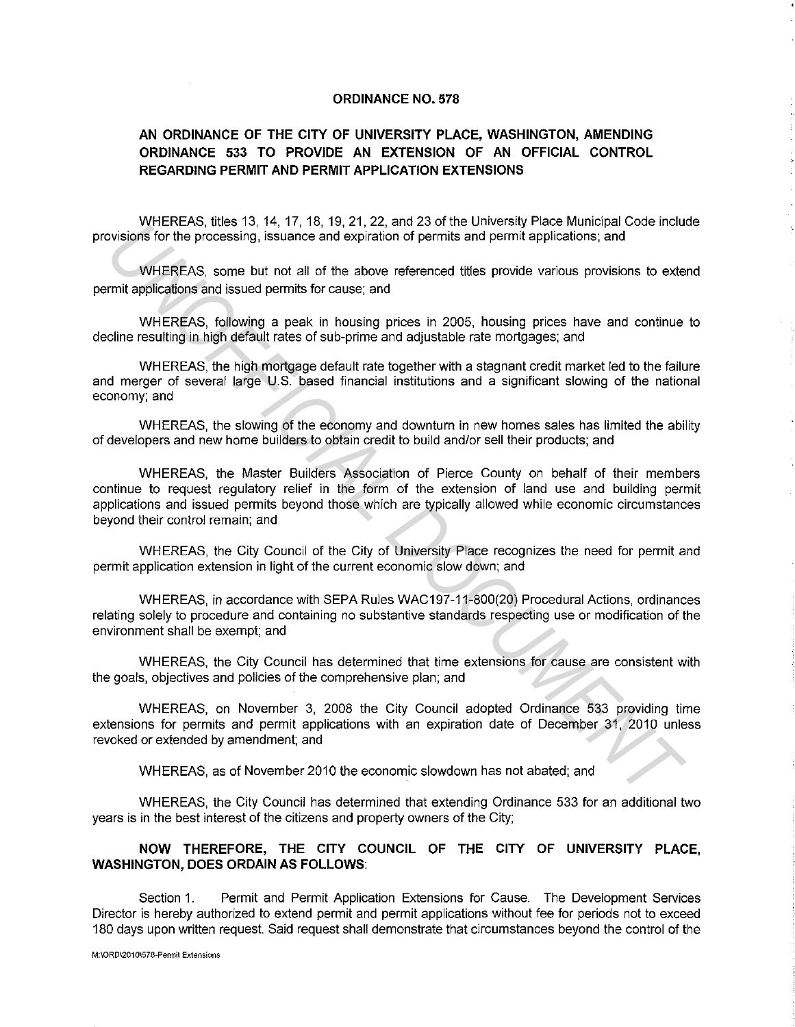## **ORDINANCE NO. 578**

## **AN ORDINANCE OF THE CITY OF UNIVERSITY PLACE, WASHINGTON, AMENDING ORDINANCE 533 TO PROVIDE AN EXTENSION OF AN OFFICIAL CONTROL REGARDING PERMIT AND PERMIT APPLICATION EXTENSIONS**

WHEREAS, titles 13, 14, 17, 18, 19, 21, 22, and 23 of the University Place Municipal Code include provisions for the processing, issuance and expiration of permits and permit applications; and

WHEREAS, some but not all of the above referenced titles provide various provisions to extend permit applications and issued permits for cause; and

WHEREAS, following a peak in housing prices in 2005, housing prices have and continue to decline resulting in high default rates of sub-prime and adjustable rate mortgages; and

WHEREAS, the high mortgage default rate together with a stagnant credit market led to the failure and merger of several large U.S. based financial institutions and a significant slowing of the national economy; and

WHEREAS, the slowing of the economy and downturn in new homes sales has limited the ability of developers and new home builders to obtain credit to build and/or sell their products; and

WHEREAS, the Master Builders Association of Pierce County on behalf of their members continue to request regulatory relief in the form of the extension of land use and building permit applications and issued permits beyond those which are typically allowed while economic circumstances beyond their control remain; and Wrieners, also since and expiration of permits and permit applications; and the consessing. Issuance and expiration of permits and permit applications; and<br>WHEREAS, some but not all of the above referenced titles provide v

WHEREAS, the City Council of the City of University Place recognizes the need for permit and permit application extension in light of the current economic slow down; and

WHEREAS, in accordance with SEPA Rules WAC197-11-800(20) Procedural Actions, ordinances relating solely to procedure and containing no substantive standards respecting use or modification of the environment shall be exempt; and

WHEREAS, the City Council has determined that time extensions for cause are consistent with the goals, objectives and policies of the comprehensive plan; and

WHEREAS, on November 3, 2008 the City Council adopted Ordinance 533 providing time extensions for permits and permit applications with an expiration date of December 31, 2010 unless revoked or extended by amendment; and

WHEREAS, as of November 2010 the economic slowdown has not abated; and

WHEREAS, the City Council has determined that extending Ordinance 533 for an additional two years is in the best interest of the citizens and property owners of the City;

**NOW THEREFORE, THE CITY COUNCIL OF THE CITY OF UNIVERSITY PLACE, WASHINGTON, DOES ORDAIN AS FOLLOWS:** 

Section 1. Permit and Permit Application Extensions for Cause. The Development Services Director is hereby authorized to extend permit and permit applications without fee for periods not to exceed 180 days upon written request. Said request shall demonstrate that circumstances beyond the control of the